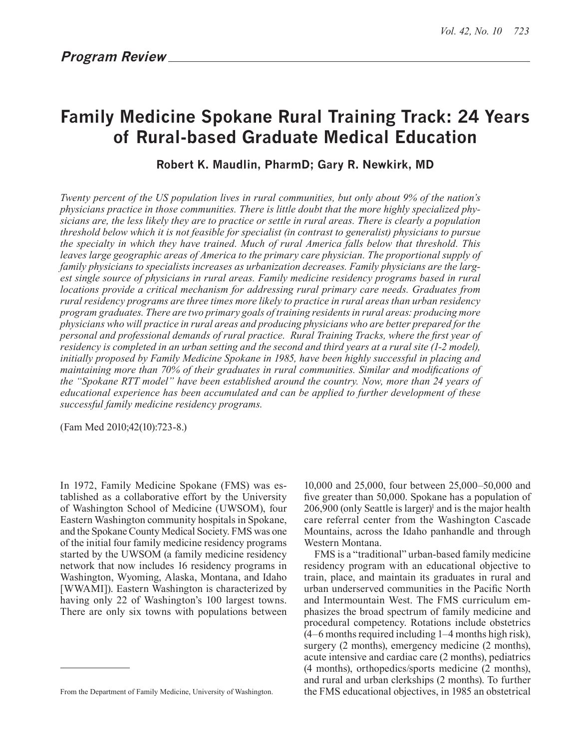# **Family Medicine Spokane Rural Training Track: 24 Years of Rural-based Graduate Medical Education**

**Robert K. Maudlin, PharmD; Gary R. Newkirk, MD**

*Twenty percent of the US population lives in rural communities, but only about 9% of the nation's physicians practice in those communities. There is little doubt that the more highly specialized physicians are, the less likely they are to practice or settle in rural areas. There is clearly a population threshold below which it is not feasible for specialist (in contrast to generalist) physicians to pursue the specialty in which they have trained. Much of rural America falls below that threshold. This leaves large geographic areas of America to the primary care physician. The proportional supply of family physicians to specialists increases as urbanization decreases. Family physicians are the largest single source of physicians in rural areas. Family medicine residency programs based in rural locations provide a critical mechanism for addressing rural primary care needs. Graduates from rural residency programs are three times more likely to practice in rural areas than urban residency program graduates. There are two primary goals of training residents in rural areas: producing more physicians who will practice in rural areas and producing physicians who are better prepared for the personal and professional demands of rural practice. Rural Training Tracks, where the first year of residency is completed in an urban setting and the second and third years at a rural site (1-2 model), initially proposed by Family Medicine Spokane in 1985, have been highly successful in placing and maintaining more than 70% of their graduates in rural communities. Similar and modifications of the "Spokane RTT model" have been established around the country. Now, more than 24 years of educational experience has been accumulated and can be applied to further development of these successful family medicine residency programs.*

(Fam Med 2010;42(10):723-8.)

In 1972, Family Medicine Spokane (FMS) was established as a collaborative effort by the University of Washington School of Medicine (UWSOM), four Eastern Washington community hospitals in Spokane, and the Spokane County Medical Society. FMS was one of the initial four family medicine residency programs started by the UWSOM (a family medicine residency network that now includes 16 residency programs in Washington, Wyoming, Alaska, Montana, and Idaho [WWAMI]). Eastern Washington is characterized by having only 22 of Washington's 100 largest towns. There are only six towns with populations between

10,000 and 25,000, four between 25,000–50,000 and five greater than 50,000. Spokane has a population of 206,900 (only Seattle is larger)<sup>1</sup> and is the major health care referral center from the Washington Cascade Mountains, across the Idaho panhandle and through Western Montana.

FMS is a "traditional" urban-based family medicine residency program with an educational objective to train, place, and maintain its graduates in rural and urban underserved communities in the Pacific North and Intermountain West. The FMS curriculum emphasizes the broad spectrum of family medicine and procedural competency. Rotations include obstetrics (4–6 months required including 1–4 months high risk), surgery (2 months), emergency medicine (2 months), acute intensive and cardiac care (2 months), pediatrics (4 months), orthopedics/sports medicine (2 months), and rural and urban clerkships (2 months). To further the FMS educational objectives, in 1985 an obstetrical

From the Department of Family Medicine, University of Washington.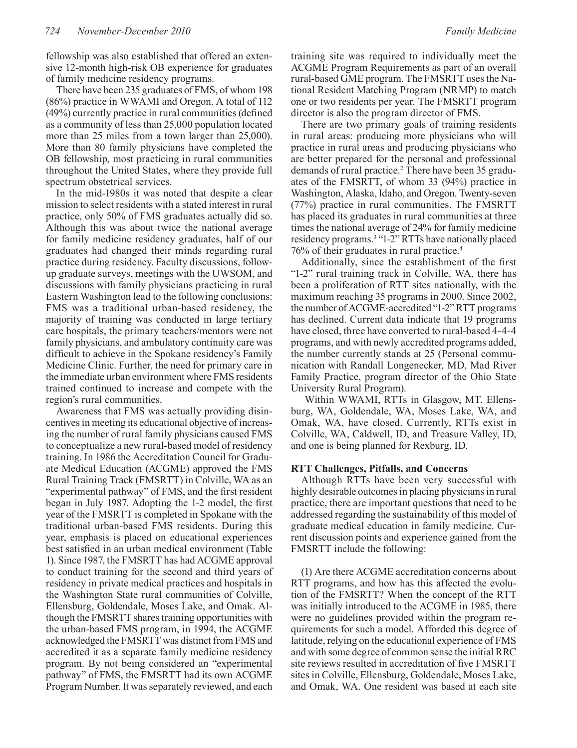fellowship was also established that offered an extensive 12-month high-risk OB experience for graduates of family medicine residency programs.

There have been 235 graduates of FMS, of whom 198 (86%) practice in WWAMI and Oregon. A total of 112 (49%) currently practice in rural communities (defined as a community of less than 25,000 population located more than 25 miles from a town larger than 25,000). More than 80 family physicians have completed the OB fellowship, most practicing in rural communities throughout the United States, where they provide full spectrum obstetrical services.

In the mid-1980s it was noted that despite a clear mission to select residents with a stated interest in rural practice, only 50% of FMS graduates actually did so. Although this was about twice the national average for family medicine residency graduates, half of our graduates had changed their minds regarding rural practice during residency. Faculty discussions, followup graduate surveys, meetings with the UWSOM, and discussions with family physicians practicing in rural Eastern Washington lead to the following conclusions: FMS was a traditional urban-based residency, the majority of training was conducted in large tertiary care hospitals, the primary teachers/mentors were not family physicians, and ambulatory continuity care was difficult to achieve in the Spokane residency's Family Medicine Clinic. Further, the need for primary care in the immediate urban environment where FMS residents trained continued to increase and compete with the region's rural communities.

Awareness that FMS was actually providing disincentives in meeting its educational objective of increasing the number of rural family physicians caused FMS to conceptualize a new rural-based model of residency training. In 1986 the Accreditation Council for Graduate Medical Education (ACGME) approved the FMS Rural Training Track (FMSRTT) in Colville, WA as an "experimental pathway" of FMS, and the first resident began in July 1987. Adopting the 1-2 model, the first year of the FMSRTT is completed in Spokane with the traditional urban-based FMS residents. During this year, emphasis is placed on educational experiences best satisfied in an urban medical environment (Table 1). Since 1987, the FMSRTT has had ACGME approval to conduct training for the second and third years of residency in private medical practices and hospitals in the Washington State rural communities of Colville, Ellensburg, Goldendale, Moses Lake, and Omak. Although the FMSRTT shares training opportunities with the urban-based FMS program, in 1994, the ACGME acknowledged the FMSRTT was distinct from FMS and accredited it as a separate family medicine residency program. By not being considered an "experimental pathway" of FMS, the FMSRTT had its own ACGME Program Number. It was separately reviewed, and each

training site was required to individually meet the ACGME Program Requirements as part of an overall rural-based GME program. The FMSRTT uses the National Resident Matching Program (NRMP) to match one or two residents per year. The FMSRTT program director is also the program director of FMS.

There are two primary goals of training residents in rural areas: producing more physicians who will practice in rural areas and producing physicians who are better prepared for the personal and professional demands of rural practice.<sup>2</sup> There have been 35 graduates of the FMSRTT, of whom 33 (94%) practice in Washington, Alaska, Idaho, and Oregon. Twenty-seven (77%) practice in rural communities. The FMSRTT has placed its graduates in rural communities at three times the national average of 24% for family medicine residency programs.<sup>3</sup> "1-2" RTTs have nationally placed 76% of their graduates in rural practice.4

Additionally, since the establishment of the first "1-2" rural training track in Colville, WA, there has been a proliferation of RTT sites nationally, with the maximum reaching 35 programs in 2000. Since 2002, the number of ACGME-accredited "1-2" RTT programs has declined. Current data indicate that 19 programs have closed, three have converted to rural-based 4-4-4 programs, and with newly accredited programs added, the number currently stands at 25 (Personal communication with Randall Longenecker, MD, Mad River Family Practice, program director of the Ohio State University Rural Program).

 Within WWAMI, RTTs in Glasgow, MT, Ellensburg, WA, Goldendale, WA, Moses Lake, WA, and Omak, WA, have closed. Currently, RTTs exist in Colville, WA, Caldwell, ID, and Treasure Valley, ID, and one is being planned for Rexburg, ID.

#### **RTT Challenges, Pitfalls, and Concerns**

Although RTTs have been very successful with highly desirable outcomes in placing physicians in rural practice, there are important questions that need to be addressed regarding the sustainability of this model of graduate medical education in family medicine. Current discussion points and experience gained from the FMSRTT include the following:

(1) Are there ACGME accreditation concerns about RTT programs, and how has this affected the evolution of the FMSRTT? When the concept of the RTT was initially introduced to the ACGME in 1985, there were no guidelines provided within the program requirements for such a model. Afforded this degree of latitude, relying on the educational experience of FMS and with some degree of common sense the initial RRC site reviews resulted in accreditation of five FMSRTT sites in Colville, Ellensburg, Goldendale, Moses Lake, and Omak, WA. One resident was based at each site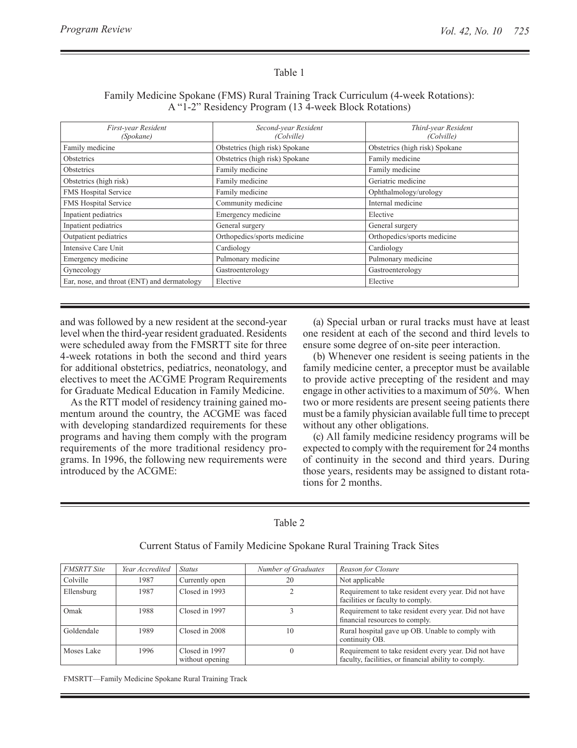# Table 1

# Family Medicine Spokane (FMS) Rural Training Track Curriculum (4-week Rotations): A "1-2" Residency Program (13 4-week Block Rotations)

| First-year Resident<br>(Spokane)            | Second-year Resident<br>(Colville)                | Third-year Resident<br>(Colville) |
|---------------------------------------------|---------------------------------------------------|-----------------------------------|
| Family medicine                             | Obstetrics (high risk) Spokane                    | Obstetrics (high risk) Spokane    |
| <b>Obstetrics</b>                           | Obstetrics (high risk) Spokane<br>Family medicine |                                   |
| Obstetrics                                  | Family medicine                                   | Family medicine                   |
| Obstetrics (high risk)                      | Family medicine                                   | Geriatric medicine                |
| <b>FMS Hospital Service</b>                 | Family medicine                                   | Ophthalmology/urology             |
| FMS Hospital Service                        | Community medicine                                | Internal medicine                 |
| Inpatient pediatrics                        | Emergency medicine                                | Elective                          |
| Inpatient pediatrics                        | General surgery                                   | General surgery                   |
| Outpatient pediatrics                       | Orthopedics/sports medicine                       | Orthopedics/sports medicine       |
| Intensive Care Unit                         | Cardiology                                        | Cardiology                        |
| Emergency medicine                          | Pulmonary medicine                                | Pulmonary medicine                |
| Gynecology                                  | Gastroenterology                                  | Gastroenterology                  |
| Ear, nose, and throat (ENT) and dermatology | Elective                                          | Elective                          |

and was followed by a new resident at the second-year level when the third-year resident graduated. Residents were scheduled away from the FMSRTT site for three 4-week rotations in both the second and third years for additional obstetrics, pediatrics, neonatology, and electives to meet the ACGME Program Requirements for Graduate Medical Education in Family Medicine.

As the RTT model of residency training gained momentum around the country, the ACGME was faced with developing standardized requirements for these programs and having them comply with the program requirements of the more traditional residency programs. In 1996, the following new requirements were introduced by the ACGME:

(a) Special urban or rural tracks must have at least one resident at each of the second and third levels to ensure some degree of on-site peer interaction.

(b) Whenever one resident is seeing patients in the family medicine center, a preceptor must be available to provide active precepting of the resident and may engage in other activities to a maximum of 50%. When two or more residents are present seeing patients there must be a family physician available full time to precept without any other obligations.

(c) All family medicine residency programs will be expected to comply with the requirement for 24 months of continuity in the second and third years. During those years, residents may be assigned to distant rotations for 2 months.

|--|--|

| <b>FMSRTT Site</b> | Year Accredited | <b>Status</b>                     | Number of Graduates | Reason for Closure                                                                                            |
|--------------------|-----------------|-----------------------------------|---------------------|---------------------------------------------------------------------------------------------------------------|
| Colville           | 1987            | Currently open                    | 20                  | Not applicable                                                                                                |
| Ellensburg         | 1987            | Closed in 1993                    |                     | Requirement to take resident every year. Did not have<br>facilities or faculty to comply.                     |
| Omak               | 1988            | Closed in 1997                    |                     | Requirement to take resident every year. Did not have<br>financial resources to comply.                       |
| Goldendale         | 1989            | Closed in 2008                    | 10                  | Rural hospital gave up OB. Unable to comply with<br>continuity OB.                                            |
| Moses Lake         | 1996            | Closed in 1997<br>without opening |                     | Requirement to take resident every year. Did not have<br>faculty, facilities, or financial ability to comply. |

Current Status of Family Medicine Spokane Rural Training Track Sites

FMSRTT—Family Medicine Spokane Rural Training Track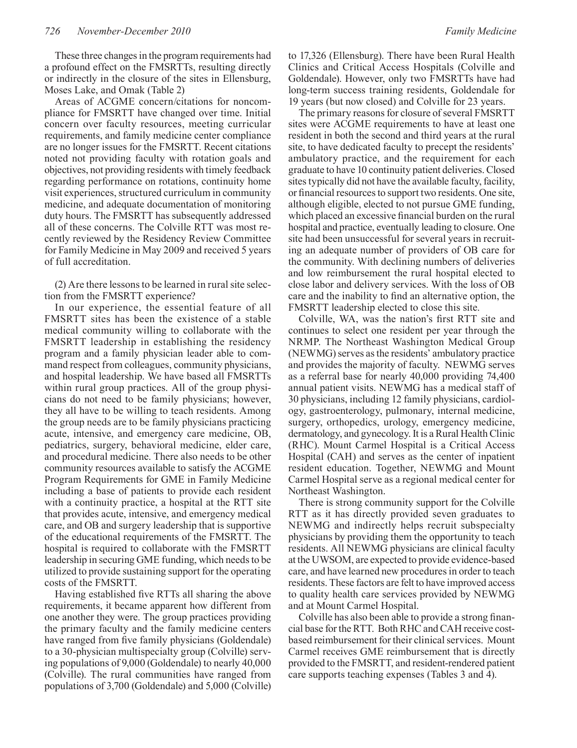These three changes in the program requirements had a profound effect on the FMSRTTs, resulting directly or indirectly in the closure of the sites in Ellensburg, Moses Lake, and Omak (Table 2)

Areas of ACGME concern/citations for noncompliance for FMSRTT have changed over time. Initial concern over faculty resources, meeting curricular requirements, and family medicine center compliance are no longer issues for the FMSRTT. Recent citations noted not providing faculty with rotation goals and objectives, not providing residents with timely feedback regarding performance on rotations, continuity home visit experiences, structured curriculum in community medicine, and adequate documentation of monitoring duty hours. The FMSRTT has subsequently addressed all of these concerns. The Colville RTT was most recently reviewed by the Residency Review Committee for Family Medicine in May 2009 and received 5 years of full accreditation.

(2) Are there lessons to be learned in rural site selection from the FMSRTT experience?

In our experience, the essential feature of all FMSRTT sites has been the existence of a stable medical community willing to collaborate with the FMSRTT leadership in establishing the residency program and a family physician leader able to command respect from colleagues, community physicians, and hospital leadership. We have based all FMSRTTs within rural group practices. All of the group physicians do not need to be family physicians; however, they all have to be willing to teach residents. Among the group needs are to be family physicians practicing acute, intensive, and emergency care medicine, OB, pediatrics, surgery, behavioral medicine, elder care, and procedural medicine. There also needs to be other community resources available to satisfy the ACGME Program Requirements for GME in Family Medicine including a base of patients to provide each resident with a continuity practice, a hospital at the RTT site that provides acute, intensive, and emergency medical care, and OB and surgery leadership that is supportive of the educational requirements of the FMSRTT. The hospital is required to collaborate with the FMSRTT leadership in securing GME funding, which needs to be utilized to provide sustaining support for the operating costs of the FMSRTT.

Having established five RTTs all sharing the above requirements, it became apparent how different from one another they were. The group practices providing the primary faculty and the family medicine centers have ranged from five family physicians (Goldendale) to a 30-physician multispecialty group (Colville) serving populations of 9,000 (Goldendale) to nearly 40,000 (Colville). The rural communities have ranged from populations of 3,700 (Goldendale) and 5,000 (Colville)

The primary reasons for closure of several FMSRTT sites were ACGME requirements to have at least one resident in both the second and third years at the rural site, to have dedicated faculty to precept the residents' ambulatory practice, and the requirement for each graduate to have 10 continuity patient deliveries. Closed sites typically did not have the available faculty, facility, or financial resources to support two residents. One site, although eligible, elected to not pursue GME funding, which placed an excessive financial burden on the rural hospital and practice, eventually leading to closure. One site had been unsuccessful for several years in recruiting an adequate number of providers of OB care for the community. With declining numbers of deliveries and low reimbursement the rural hospital elected to close labor and delivery services. With the loss of OB care and the inability to find an alternative option, the FMSRTT leadership elected to close this site.

Colville, WA, was the nation's first RTT site and continues to select one resident per year through the NRMP. The Northeast Washington Medical Group (NEWMG) serves as the residents' ambulatory practice and provides the majority of faculty. NEWMG serves as a referral base for nearly 40,000 providing 74,400 annual patient visits. NEWMG has a medical staff of 30 physicians, including 12 family physicians, cardiology, gastroenterology, pulmonary, internal medicine, surgery, orthopedics, urology, emergency medicine, dermatology, and gynecology. It is a Rural Health Clinic (RHC). Mount Carmel Hospital is a Critical Access Hospital (CAH) and serves as the center of inpatient resident education. Together, NEWMG and Mount Carmel Hospital serve as a regional medical center for Northeast Washington.

There is strong community support for the Colville RTT as it has directly provided seven graduates to NEWMG and indirectly helps recruit subspecialty physicians by providing them the opportunity to teach residents. All NEWMG physicians are clinical faculty at the UWSOM, are expected to provide evidence-based care, and have learned new procedures in order to teach residents. These factors are felt to have improved access to quality health care services provided by NEWMG and at Mount Carmel Hospital.

Colville has also been able to provide a strong financial base for the RTT. Both RHC and CAH receive costbased reimbursement for their clinical services. Mount Carmel receives GME reimbursement that is directly provided to the FMSRTT, and resident-rendered patient care supports teaching expenses (Tables 3 and 4).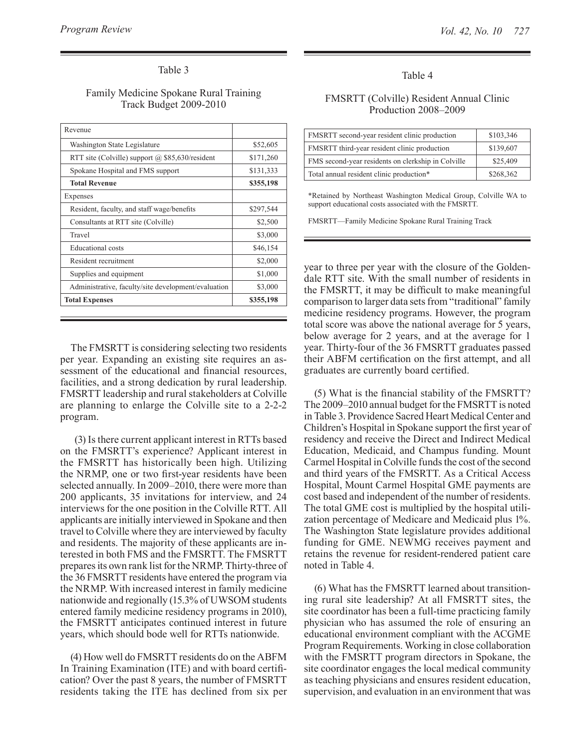# Table 3

### Family Medicine Spokane Rural Training Track Budget 2009-2010

| Revenue                                             |           |
|-----------------------------------------------------|-----------|
| Washington State Legislature                        | \$52,605  |
| RTT site (Colville) support $(a)$ \$85,630/resident | \$171,260 |
| Spokane Hospital and FMS support                    | \$131,333 |
| <b>Total Revenue</b>                                | \$355,198 |
| Expenses                                            |           |
| Resident, faculty, and staff wage/benefits          | \$297,544 |
| Consultants at RTT site (Colville)                  | \$2,500   |
| Travel                                              | \$3,000   |
| <b>Educational</b> costs                            | \$46,154  |
| Resident recruitment                                | \$2,000   |
| Supplies and equipment                              | \$1,000   |
| Administrative, faculty/site development/evaluation | \$3,000   |
| <b>Total Expenses</b>                               | \$355,198 |

The FMSRTT is considering selecting two residents per year. Expanding an existing site requires an assessment of the educational and financial resources, facilities, and a strong dedication by rural leadership. FMSRTT leadership and rural stakeholders at Colville are planning to enlarge the Colville site to a 2-2-2 program.

 (3) Is there current applicant interest in RTTs based on the FMSRTT's experience? Applicant interest in the FMSRTT has historically been high. Utilizing the NRMP, one or two first-year residents have been selected annually. In 2009–2010, there were more than 200 applicants, 35 invitations for interview, and 24 interviews for the one position in the Colville RTT. All applicants are initially interviewed in Spokane and then travel to Colville where they are interviewed by faculty and residents. The majority of these applicants are interested in both FMS and the FMSRTT. The FMSRTT prepares its own rank list for the NRMP. Thirty-three of the 36 FMSRTT residents have entered the program via the NRMP. With increased interest in family medicine nationwide and regionally (15.3% of UWSOM students entered family medicine residency programs in 2010), the FMSRTT anticipates continued interest in future years, which should bode well for RTTs nationwide.

(4) How well do FMSRTT residents do on the ABFM In Training Examination (ITE) and with board certification? Over the past 8 years, the number of FMSRTT residents taking the ITE has declined from six per

#### Table 4

#### FMSRTT (Colville) Resident Annual Clinic Production 2008–2009

| FMSRTT second-year resident clinic production      | \$103,346 |
|----------------------------------------------------|-----------|
| FMSRTT third-year resident clinic production       | \$139,607 |
| FMS second-year residents on clerkship in Colville | \$25,409  |
| Total annual resident clinic production*           | \$268,362 |

\*Retained by Northeast Washington Medical Group, Colville WA to support educational costs associated with the FMSRTT.

FMSRTT—Family Medicine Spokane Rural Training Track

year to three per year with the closure of the Goldendale RTT site. With the small number of residents in the FMSRTT, it may be difficult to make meaningful comparison to larger data sets from "traditional" family medicine residency programs. However, the program total score was above the national average for 5 years, below average for 2 years, and at the average for 1 year. Thirty-four of the 36 FMSRTT graduates passed their ABFM certification on the first attempt, and all graduates are currently board certified.

(5) What is the financial stability of the FMSRTT? The 2009–2010 annual budget for the FMSRTT is noted in Table 3. Providence Sacred Heart Medical Center and Children's Hospital in Spokane support the first year of residency and receive the Direct and Indirect Medical Education, Medicaid, and Champus funding. Mount Carmel Hospital in Colville funds the cost of the second and third years of the FMSRTT. As a Critical Access Hospital, Mount Carmel Hospital GME payments are cost based and independent of the number of residents. The total GME cost is multiplied by the hospital utilization percentage of Medicare and Medicaid plus 1%. The Washington State legislature provides additional funding for GME. NEWMG receives payment and retains the revenue for resident-rendered patient care noted in Table 4.

(6) What has the FMSRTT learned about transitioning rural site leadership? At all FMSRTT sites, the site coordinator has been a full-time practicing family physician who has assumed the role of ensuring an educational environment compliant with the ACGME Program Requirements. Working in close collaboration with the FMSRTT program directors in Spokane, the site coordinator engages the local medical community as teaching physicians and ensures resident education, supervision, and evaluation in an environment that was